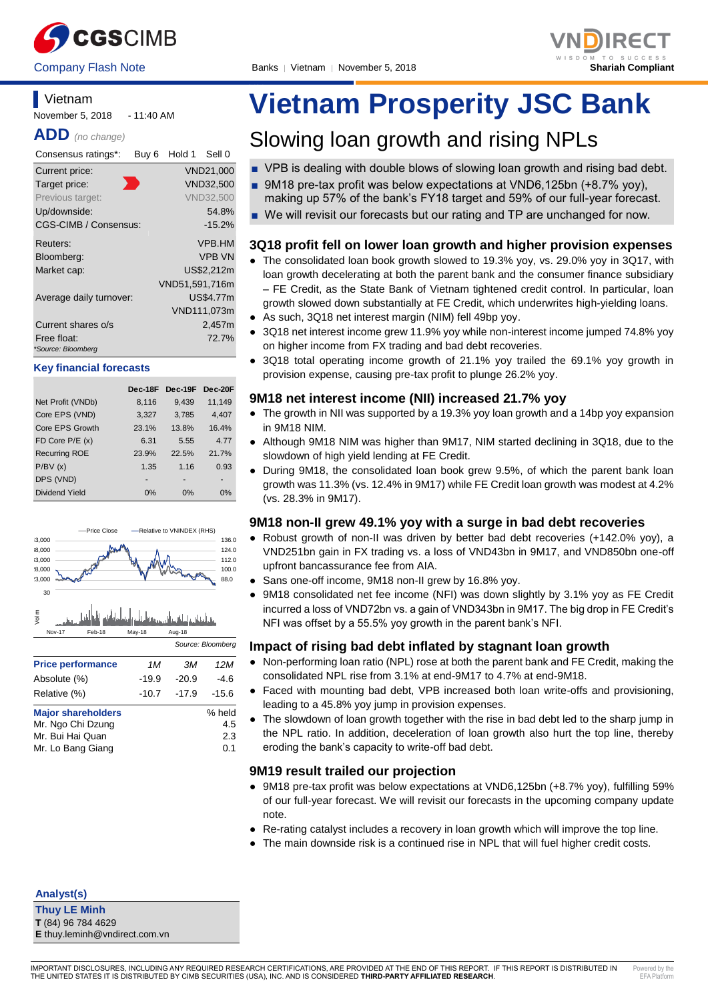



#### **Vietnam** November 5, 2018 - 11:40 AM

**ADD** *(no change)*

| Consensus ratings*:               | Buy <sub>6</sub> | Hold 1         | Sell 0           |
|-----------------------------------|------------------|----------------|------------------|
| Current price:                    |                  |                | VND21,000        |
| Target price:                     |                  |                | VND32,500        |
| Previous target:                  |                  |                | <b>VND32,500</b> |
| Up/downside:                      |                  |                | 54.8%            |
| CGS-CIMB / Consensus:             |                  |                | $-15.2%$         |
| Reuters:                          |                  |                | VPB.HM           |
| Bloomberg:                        |                  |                | <b>VPB VN</b>    |
| Market cap:                       |                  |                | US\$2,212m       |
|                                   |                  | VND51,591,716m |                  |
| Average daily turnover:           |                  |                | <b>US\$4.77m</b> |
|                                   |                  |                | VND111,073m      |
| Current shares o/s                |                  |                | 2,457m           |
| Free float:<br>*Source: Bloomberg |                  |                | 72.7%            |

#### **Key financial forecasts**

|                      | Dec-18F | $Dec-19F$ | Dec-20F |
|----------------------|---------|-----------|---------|
| Net Profit (VNDb)    | 8,116   | 9,439     | 11,149  |
| Core EPS (VND)       | 3,327   | 3,785     | 4,407   |
| Core EPS Growth      | 23.1%   | 13.8%     | 16.4%   |
| FD Core $P/E(x)$     | 6.31    | 5.55      | 4.77    |
| <b>Recurring ROE</b> | 23.9%   | 22.5%     | 21.7%   |
| P/BV(x)              | 1.35    | 1.16      | 0.93    |
| DPS (VND)            |         | -         |         |
| Dividend Yield       | 0%      | 0%        | $0\%$   |



| Mr. Ngo Chi Dzung | 4.5 |
|-------------------|-----|
| Mr. Bui Hai Quan  | 2.3 |

- Mr. Lo Bang Giang 0.1
- 

# **Vietnam Prosperity JSC Bank**

## Slowing loan growth and rising NPLs

- VPB is dealing with double blows of slowing loan growth and rising bad debt.
- 9M18 pre-tax profit was below expectations at VND6,125bn (+8.7% vov). making up 57% of the bank's FY18 target and 59% of our full-year forecast.
- We will revisit our forecasts but our rating and TP are unchanged for now.

## **3Q18 profit fell on lower loan growth and higher provision expenses**

- The consolidated loan book growth slowed to 19.3% yoy, vs. 29.0% yoy in 3Q17, with loan growth decelerating at both the parent bank and the consumer finance subsidiary – FE Credit, as the State Bank of Vietnam tightened credit control. In particular, loan growth slowed down substantially at FE Credit, which underwrites high-yielding loans.
- As such, 3Q18 net interest margin (NIM) fell 49bp yoy.
- 3Q18 net interest income grew 11.9% yoy while non-interest income jumped 74.8% yoy on higher income from FX trading and bad debt recoveries.
- 3Q18 total operating income growth of 21.1% yoy trailed the 69.1% yoy growth in provision expense, causing pre-tax profit to plunge 26.2% yoy.

## **9M18 net interest income (NII) increased 21.7% yoy**

- The growth in NII was supported by a 19.3% yoy loan growth and a 14bp yoy expansion in 9M18 NIM.
- Although 9M18 NIM was higher than 9M17, NIM started declining in 3Q18, due to the slowdown of high yield lending at FE Credit.
- During 9M18, the consolidated loan book grew 9.5%, of which the parent bank loan growth was 11.3% (vs. 12.4% in 9M17) while FE Credit loan growth was modest at 4.2% (vs. 28.3% in 9M17).

## **9M18 non-II grew 49.1% yoy with a surge in bad debt recoveries**

- Robust growth of non-II was driven by better bad debt recoveries (+142.0% yoy), a VND251bn gain in FX trading vs. a loss of VND43bn in 9M17, and VND850bn one-off upfront bancassurance fee from AIA.
- Sans one-off income, 9M18 non-II grew by 16.8% yoy.
- 9M18 consolidated net fee income (NFI) was down slightly by 3.1% yoy as FE Credit incurred a loss of VND72bn vs. a gain of VND343bn in 9M17. The big drop in FE Credit's NFI was offset by a 55.5% yoy growth in the parent bank's NFI.

## **Impact of rising bad debt inflated by stagnant loan growth**

- Non-performing loan ratio (NPL) rose at both the parent bank and FE Credit, making the consolidated NPL rise from 3.1% at end-9M17 to 4.7% at end-9M18.
- Faced with mounting bad debt, VPB increased both loan write-offs and provisioning, leading to a 45.8% yoy jump in provision expenses.
- The slowdown of loan growth together with the rise in bad debt led to the sharp jump in the NPL ratio. In addition, deceleration of loan growth also hurt the top line, thereby eroding the bank's capacity to write-off bad debt.

## **9M19 result trailed our projection**

- 9M18 pre-tax profit was below expectations at VND6,125bn (+8.7% yoy), fulfilling 59% of our full-year forecast. We will revisit our forecasts in the upcoming company update note.
- Re-rating catalyst includes a recovery in loan growth which will improve the top line.
- The main downside risk is a continued rise in NPL that will fuel higher credit costs.

**Analyst(s)**

**Thuy LE Minh T** (84) 96 784 4629 **E** thuy.leminh@vndirect.com.vn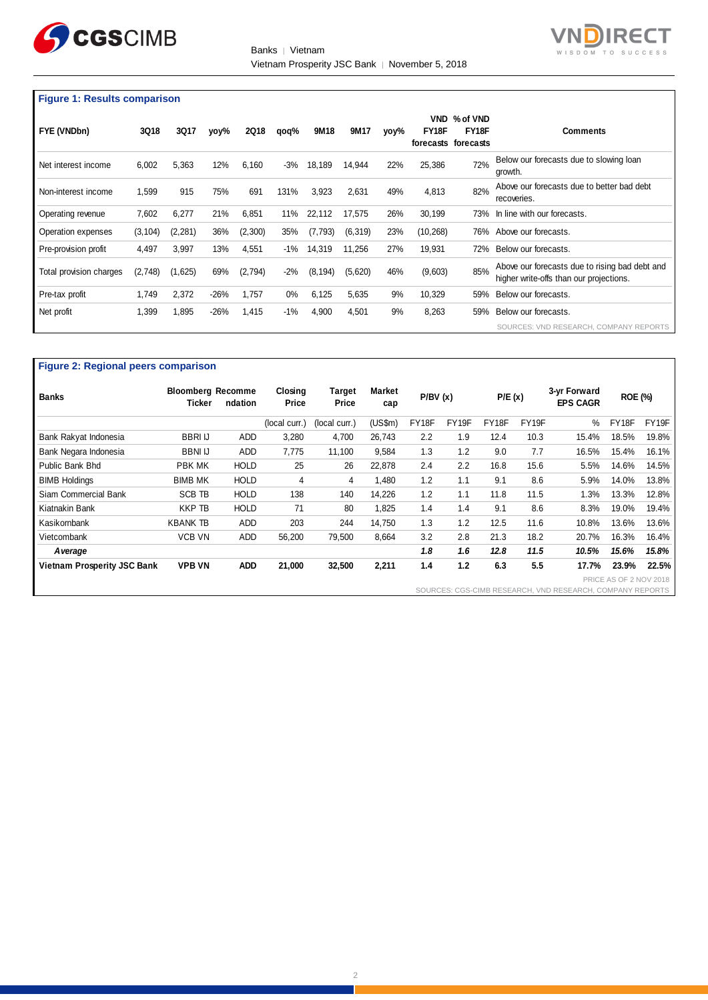



## **Figure 1: Results comparison**

| FYE (VNDbn)             | 3Q18     | <b>3Q17</b> | yoy%   | <b>2Q18</b> | qoq%  | 9M18     | 9M17     | yoy% | VND<br>FY18F | % of VND<br>FY18F<br>forecasts forecasts | <b>Comments</b>                                                                           |
|-------------------------|----------|-------------|--------|-------------|-------|----------|----------|------|--------------|------------------------------------------|-------------------------------------------------------------------------------------------|
| Net interest income     | 6,002    | 5,363       | 12%    | 6,160       | $-3%$ | 18,189   | 14,944   | 22%  | 25,386       | 72%                                      | Below our forecasts due to slowing loan<br>growth.                                        |
| Non-interest income     | 1,599    | 915         | 75%    | 691         | 131%  | 3,923    | 2,631    | 49%  | 4,813        | 82%                                      | Above our forecasts due to better bad debt<br>recoveries.                                 |
| Operating revenue       | 7,602    | 6,277       | 21%    | 6,851       | 11%   | 22,112   | 17,575   | 26%  | 30,199       | 73%                                      | In line with our forecasts.                                                               |
| Operation expenses      | (3, 104) | (2, 281)    | 36%    | (2,300)     | 35%   | (7, 793) | (6, 319) | 23%  | (10, 268)    | 76%                                      | Above our forecasts.                                                                      |
| Pre-provision profit    | 4,497    | 3,997       | 13%    | 4,551       | $-1%$ | 14.319   | 11,256   | 27%  | 19,931       | 72%                                      | Below our forecasts.                                                                      |
| Total provision charges | (2,748)  | (1,625)     | 69%    | (2,794)     | $-2%$ | (8, 194) | (5,620)  | 46%  | (9,603)      | 85%                                      | Above our forecasts due to rising bad debt and<br>higher write-offs than our projections. |
| Pre-tax profit          | 1,749    | 2,372       | $-26%$ | 1.757       | $0\%$ | 6,125    | 5,635    | 9%   | 10,329       | 59%                                      | Below our forecasts.                                                                      |
| Net profit              | 1,399    | .895        | $-26%$ | 1,415       | $-1%$ | 4,900    | 4,501    | 9%   | 8,263        | 59%                                      | Below our forecasts.                                                                      |
|                         |          |             |        |             |       |          |          |      |              |                                          | SOURCES: VND RESEARCH, COMPANY REPORTS                                                    |

| <b>Figure 2: Regional peers comparison</b> |                                    |             |                  |                 |               |         |       |        |       |                                                           |                        |       |
|--------------------------------------------|------------------------------------|-------------|------------------|-----------------|---------------|---------|-------|--------|-------|-----------------------------------------------------------|------------------------|-------|
| <b>Banks</b>                               | <b>Bloomberg Recomme</b><br>Ticker | ndation     | Closing<br>Price | Target<br>Price | Market<br>cap | P/BV(x) |       | P/E(x) |       | 3-yr Forward<br><b>EPS CAGR</b>                           | <b>ROE (%)</b>         |       |
|                                            |                                    |             | (local curr.)    | (local curr.)   | (US\$m)       | FY18F   | FY19F | FY18F  | FY19F | $\%$                                                      | FY18F                  | FY19F |
| Bank Rakyat Indonesia                      | <b>BBRIU</b>                       | ADD         | 3,280            | 4,700           | 26,743        | 2.2     | 1.9   | 12.4   | 10.3  | 15.4%                                                     | 18.5%                  | 19.8% |
| Bank Negara Indonesia                      | <b>BBNI IJ</b>                     | <b>ADD</b>  | 7,775            | 11,100          | 9,584         | 1.3     | 1.2   | 9.0    | 7.7   | 16.5%                                                     | 15.4%                  | 16.1% |
| Public Bank Bhd                            | PBK MK                             | <b>HOLD</b> | 25               | 26              | 22,878        | 2.4     | 2.2   | 16.8   | 15.6  | 5.5%                                                      | 14.6%                  | 14.5% |
| <b>BIMB Holdings</b>                       | <b>BIMB MK</b>                     | <b>HOLD</b> | 4                | 4               | 1,480         | 1.2     | 1.1   | 9.1    | 8.6   | 5.9%                                                      | 14.0%                  | 13.8% |
| Siam Commercial Bank                       | SCB TB                             | <b>HOLD</b> | 138              | 140             | 14,226        | 1.2     | 1.1   | 11.8   | 11.5  | 1.3%                                                      | 13.3%                  | 12.8% |
| Kiatnakin Bank                             | <b>KKP TB</b>                      | <b>HOLD</b> | 71               | 80              | 1,825         | 1.4     | 1.4   | 9.1    | 8.6   | 8.3%                                                      | 19.0%                  | 19.4% |
| Kasikombank                                | <b>KBANK TB</b>                    | ADD         | 203              | 244             | 14.750        | 1.3     | 1.2   | 12.5   | 11.6  | 10.8%                                                     | 13.6%                  | 13.6% |
| Vietcombank                                | <b>VCB VN</b>                      | ADD         | 56,200           | 79,500          | 8,664         | 3.2     | 2.8   | 21.3   | 18.2  | 20.7%                                                     | 16.3%                  | 16.4% |
| <b>Average</b>                             |                                    |             |                  |                 |               | 1.8     | 1.6   | 12.8   | 11.5  | 10.5%                                                     | 15.6%                  | 15.8% |
| <b>Vietnam Prosperity JSC Bank</b>         | <b>VPB VN</b>                      | <b>ADD</b>  | 21,000           | 32,500          | 2,211         | 1.4     | 1.2   | 6.3    | 5.5   | 17.7%                                                     | 23.9%                  | 22.5% |
|                                            |                                    |             |                  |                 |               |         |       |        |       |                                                           | PRICE AS OF 2 NOV 2018 |       |
|                                            |                                    |             |                  |                 |               |         |       |        |       | SOURCES: CGS-CIMB RESEARCH, VND RESEARCH, COMPANY REPORTS |                        |       |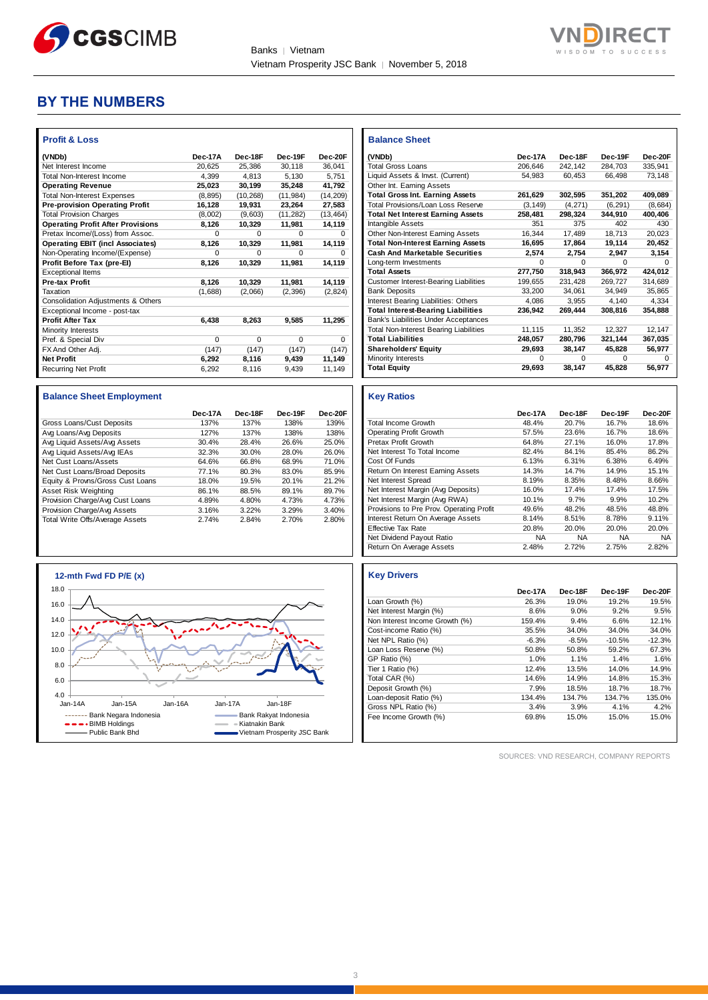



## **BY THE NUMBERS**

| <b>Profit &amp; Loss</b>                 |          |           |           |           |
|------------------------------------------|----------|-----------|-----------|-----------|
| (VNDb)                                   | Dec-17A  | Dec-18F   | Dec-19F   | Dec-20F   |
| Net Interest Income                      | 20.625   | 25.386    | 30.118    | 36.041    |
| <b>Total Non-Interest Income</b>         | 4.399    | 4.813     | 5.130     | 5.751     |
| <b>Operating Revenue</b>                 | 25.023   | 30,199    | 35,248    | 41,792    |
| <b>Total Non-Interest Expenses</b>       | (8, 895) | (10, 268) | (11, 984) | (14, 209) |
| <b>Pre-provision Operating Profit</b>    | 16,128   | 19,931    | 23,264    | 27,583    |
| <b>Total Provision Charges</b>           | (8,002)  | (9.603)   | (11, 282) | (13, 464) |
| <b>Operating Profit After Provisions</b> | 8,126    | 10.329    | 11,981    | 14,119    |
| Pretax Income/(Loss) from Assoc.         | $\Omega$ | $\Omega$  | $\Omega$  | O         |
| <b>Operating EBIT (incl Associates)</b>  | 8,126    | 10,329    | 11,981    | 14,119    |
| Non-Operating Income/(Expense)           | O        | $\Omega$  | $\Omega$  | O         |
| Profit Before Tax (pre-El)               | 8,126    | 10,329    | 11,981    | 14,119    |
| <b>Exceptional Items</b>                 |          |           |           |           |
| Pre-tax Profit                           | 8,126    | 10,329    | 11,981    | 14,119    |
| Taxation                                 | (1,688)  | (2,066)   | (2,396)   | (2,824)   |
| Consolidation Adjustments & Others       |          |           |           |           |
| Exceptional Income - post-tax            |          |           |           |           |
| <b>Profit After Tax</b>                  | 6,438    | 8,263     | 9,585     | 11,295    |
| Minority Interests                       |          |           |           |           |
| Pref. & Special Div                      | $\Omega$ | $\Omega$  | $\Omega$  | $\Omega$  |
| FX And Other Adj.                        | (147)    | (147)     | (147)     | (147)     |
| <b>Net Profit</b>                        | 6,292    | 8.116     | 9,439     | 11,149    |
| <b>Recurring Net Profit</b>              | 6.292    | 8.116     | 9.439     | 11.149    |

| <b>Balance Sheet Employment</b>  |         |         |         |         |
|----------------------------------|---------|---------|---------|---------|
|                                  | Dec-17A | Dec-18F | Dec-19F | Dec-20F |
| Gross Loans/Cust Deposits        | 137%    | 137%    | 138%    | 139%    |
| Avg Loans/Avg Deposits           | 127%    | 137%    | 138%    | 138%    |
| Avg Liquid Assets/Avg Assets     | 30.4%   | 28.4%   | 26.6%   | 25.0%   |
| Avg Liquid Assets/Avg IEAs       | 32.3%   | 30.0%   | 28.0%   | 26.0%   |
| Net Cust Loans/Assets            | 64.6%   | 66.8%   | 68.9%   | 71.0%   |
| Net Cust Loans/Broad Deposits    | 77.1%   | 80.3%   | 83.0%   | 85.9%   |
| Equity & Provns/Gross Cust Loans | 18.0%   | 19.5%   | 20.1%   | 21.2%   |
| Asset Risk Weighting             | 86.1%   | 88.5%   | 89.1%   | 89.7%   |
| Provision Charge/Avg Cust Loans  | 4.89%   | 4.80%   | 4.73%   | 4.73%   |
| Provision Charge/Avg Assets      | 3.16%   | 3.22%   | 3.29%   | 3.40%   |
| Total Write Offs/Average Assets  | 2.74%   | 2.84%   | 2.70%   | 2.80%   |



| <b>Balance Sheet</b>                          |          |          |           |          |
|-----------------------------------------------|----------|----------|-----------|----------|
| (VNDb)                                        | Dec-17A  | Dec-18F  | $Dec-19F$ | Dec-20F  |
| <b>Total Gross Loans</b>                      | 206.646  | 242.142  | 284.703   | 335,941  |
| Liquid Assets & Invst. (Current)              | 54.983   | 60.453   | 66.498    | 73.148   |
| Other Int. Earning Assets                     |          |          |           |          |
| <b>Total Gross Int. Earning Assets</b>        | 261,629  | 302,595  | 351,202   | 409,089  |
| Total Provisions/Loan Loss Reserve            | (3, 149) | (4,271)  | (6, 291)  | (8,684)  |
| <b>Total Net Interest Earning Assets</b>      | 258,481  | 298,324  | 344.910   | 400,406  |
| Intangible Assets                             | 351      | 375      | 402       | 430      |
| Other Non-Interest Earning Assets             | 16,344   | 17,489   | 18,713    | 20,023   |
| <b>Total Non-Interest Earning Assets</b>      | 16,695   | 17,864   | 19,114    | 20,452   |
| <b>Cash And Marketable Securities</b>         | 2,574    | 2,754    | 2.947     | 3,154    |
| Long-term Investments                         | $\Omega$ | $\Omega$ | $\Omega$  | $\Omega$ |
| <b>Total Assets</b>                           | 277,750  | 318,943  | 366,972   | 424,012  |
| <b>Customer Interest-Bearing Liabilities</b>  | 199.655  | 231.428  | 269.727   | 314.689  |
| <b>Bank Deposits</b>                          | 33.200   | 34.061   | 34.949    | 35.865   |
| Interest Bearing Liabilities: Others          | 4,086    | 3,955    | 4,140     | 4.334    |
| <b>Total Interest-Bearing Liabilities</b>     | 236.942  | 269,444  | 308,816   | 354,888  |
| <b>Bank's Liabilities Under Acceptances</b>   |          |          |           |          |
| <b>Total Non-Interest Bearing Liabilities</b> | 11,115   | 11,352   | 12.327    | 12,147   |
| <b>Total Liabilities</b>                      | 248.057  | 280.796  | 321,144   | 367.035  |
| <b>Shareholders' Equity</b>                   | 29.693   | 38.147   | 45.828    | 56.977   |
| <b>Minority Interests</b>                     | $\Omega$ | $\Omega$ | $\Omega$  | n        |
| <b>Total Equity</b>                           | 29,693   | 38,147   | 45,828    | 56,977   |

#### **Key Ratios**

|                                          | Dec-17A | Dec-18F   | Dec-19F   | Dec-20F   |
|------------------------------------------|---------|-----------|-----------|-----------|
| <b>Total Income Growth</b>               | 48.4%   | 20.7%     | 16.7%     | 18.6%     |
| <b>Operating Profit Growth</b>           | 57.5%   | 23.6%     | 16.7%     | 18.6%     |
| Pretax Profit Growth                     | 64.8%   | 27.1%     | 16.0%     | 17.8%     |
| Net Interest To Total Income             | 82.4%   | 84.1%     | 85.4%     | 86.2%     |
| Cost Of Funds                            | 6.13%   | 6.31%     | 6.38%     | 6.49%     |
| Return On Interest Earning Assets        | 14.3%   | 14.7%     | 14.9%     | 15.1%     |
| Net Interest Spread                      | 8.19%   | 8.35%     | 8.48%     | 8.66%     |
| Net Interest Margin (Avg Deposits)       | 16.0%   | 17.4%     | 17.4%     | 17.5%     |
| Net Interest Margin (Avg RWA)            | 10.1%   | 9.7%      | 9.9%      | 10.2%     |
| Provisions to Pre Prov. Operating Profit | 49.6%   | 48.2%     | 48.5%     | 48.8%     |
| Interest Return On Average Assets        | 8.14%   | 8.51%     | 8.78%     | 9.11%     |
| <b>Effective Tax Rate</b>                | 20.8%   | 20.0%     | 20.0%     | 20.0%     |
| Net Dividend Payout Ratio                | NA.     | <b>NA</b> | <b>NA</b> | <b>NA</b> |
| Return On Average Assets                 | 2.48%   | 2.72%     | 2.75%     | 2.82%     |

#### **Key Drivers**

|                                | Dec-17A | Dec-18F | Dec-19F  | Dec-20F  |
|--------------------------------|---------|---------|----------|----------|
| Loan Growth (%)                | 26.3%   | 19.0%   | 19.2%    | 19.5%    |
| Net Interest Margin (%)        | 8.6%    | 9.0%    | 9.2%     | 9.5%     |
| Non Interest Income Growth (%) | 159.4%  | 9.4%    | 6.6%     | 12.1%    |
| Cost-income Ratio (%)          | 35.5%   | 34.0%   | 34.0%    | 34.0%    |
| Net NPL Ratio (%)              | $-6.3%$ | $-8.5%$ | $-10.5%$ | $-12.3%$ |
| Loan Loss Reserve (%)          | 50.8%   | 50.8%   | 59.2%    | 67.3%    |
| GP Ratio (%)                   | 1.0%    | 1.1%    | 1.4%     | 1.6%     |
| Tier 1 Ratio (%)               | 12.4%   | 13.5%   | 14.0%    | 14.9%    |
| Total CAR (%)                  | 14.6%   | 14.9%   | 14.8%    | 15.3%    |
| Deposit Growth (%)             | 7.9%    | 18.5%   | 18.7%    | 18.7%    |
| Loan-deposit Ratio (%)         | 134.4%  | 134.7%  | 134.7%   | 135.0%   |
| Gross NPL Ratio (%)            | 3.4%    | 3.9%    | 4.1%     | 4.2%     |
| Fee Income Growth (%)          | 69.8%   | 15.0%   | 15.0%    | 15.0%    |

SOURCES: VND RESEARCH, COMPANY REPORTS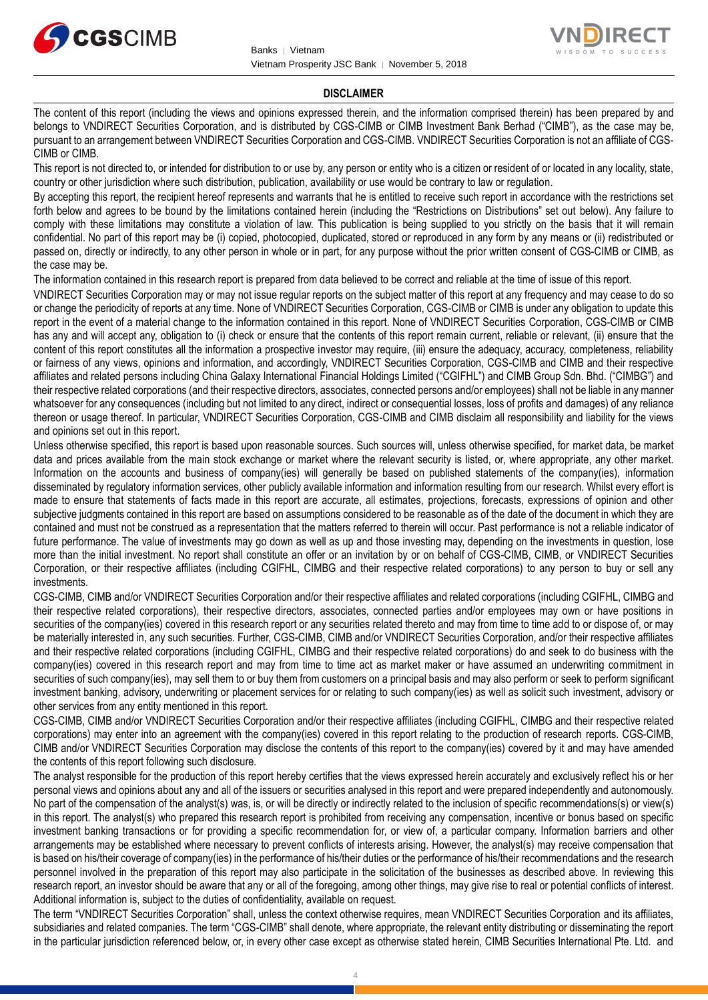



#### **DISCLAIMER**

The content of this report (including the views and opinions expressed therein, and the information comprised therein) has been prepared by and belongs to VNDIRECT Securities Corporation, and is distributed by CGS-CIMB or CIMB Investment Bank Berhad ("CIMB"), as the case may be, pursuant to an arrangement between VNDIRECT Securities Corporation and CGS-CIMB. VNDIRECT Securities Corporation is not an affiliate of CGS-CIMB or CIMB.

This report is not directed to, or intended for distribution to or use by, any person or entity who is a citizen or resident of or located in any locality, state, country or other jurisdiction where such distribution, publication, availability or use would be contrary to law or regulation.

By accepting this report, the recipient hereof represents and warrants that he is entitled to receive such report in accordance with the restrictions set forth below and agrees to be bound by the limitations contained herein (including the "Restrictions on Distributions" set out below). Any failure to comply with these limitations may constitute a violation of law. This publication is being supplied to you strictly on the basis that it will remain confidential. No part of this report may be (i) copied, photocopied, duplicated, stored or reproduced in any form by any means or (ii) redistributed or passed on, directly or indirectly, to any other person in whole or in part, for any purpose without the prior written consent of CGS-CIMB or CIMB, as the case may be.

The information contained in this research report is prepared from data believed to be correct and reliable at the time of issue of this report.

VNDIRECT Securities Corporation may or may not issue regular reports on the subject matter of this report at any frequency and may cease to do so or change the periodicity of reports at any time. None of VNDIRECT Securities Corporation, CGS-CIMB or CIMB is under any obligation to update this report in the event of a material change to the information contained in this report. None of VNDIRECT Securities Corporation, CGS-CIMB or CIMB has any and will accept any, obligation to (i) check or ensure that the contents of this report remain current, reliable or relevant, (ii) ensure that the content of this report constitutes all the information a prospective investor may require, (iii) ensure the adequacy, accuracy, completeness, reliability or fairness of any views, opinions and information, and accordingly, VNDIRECT Securities Corporation, CGS-CIMB and CIMB and their respective affiliates and related persons including China Galaxy International Financial Holdings Limited ("CGIFHL") and CIMB Group Sdn. Bhd. ("CIMBG") and their respective related corporations (and their respective directors, associates, connected persons and/or employees) shall not be liable in any manner whatsoever for any consequences (including but not limited to any direct, indirect or consequential losses, loss of profits and damages) of any reliance thereon or usage thereof. In particular, VNDIRECT Securities Corporation, CGS-CIMB and CIMB disclaim all responsibility and liability for the views and opinions set out in this report.

Unless otherwise specified, this report is based upon reasonable sources. Such sources will, unless otherwise specified, for market data, be market data and prices available from the main stock exchange or market where the relevant security is listed, or, where appropriate, any other market. Information on the accounts and business of company(ies) will generally be based on published statements of the company(ies), information disseminated by regulatory information services, other publicly available information and information resulting from our research. Whilst every effort is made to ensure that statements of facts made in this report are accurate, all estimates, projections, forecasts, expressions of opinion and other subjective judgments contained in this report are based on assumptions considered to be reasonable as of the date of the document in which they are contained and must not be construed as a representation that the matters referred to therein will occur. Past performance is not a reliable indicator of future performance. The value of investments may go down as well as up and those investing may, depending on the investments in question, lose more than the initial investment. No report shall constitute an offer or an invitation by or on behalf of CGS-CIMB, CIMB, or VNDIRECT Securities Corporation, or their respective affiliates (including CGIFHL, CIMBG and their respective related corporations) to any person to buy or sell any investments.

CGS-CIMB, CIMB and/or VNDIRECT Securities Corporation and/or their respective affiliates and related corporations (including CGIFHL, CIMBG and their respective related corporations), their respective directors, associates, connected parties and/or employees may own or have positions in securities of the company(ies) covered in this research report or any securities related thereto and may from time to time add to or dispose of, or may be materially interested in, any such securities. Further, CGS-CIMB, CIMB and/or VNDIRECT Securities Corporation, and/or their respective affiliates and their respective related corporations (including CGIFHL, CIMBG and their respective related corporations) do and seek to do business with the company(ies) covered in this research report and may from time to time act as market maker or have assumed an underwriting commitment in securities of such company(ies), may sell them to or buy them from customers on a principal basis and may also perform or seek to perform significant investment banking, advisory, underwriting or placement services for or relating to such company(ies) as well as solicit such investment, advisory or other services from any entity mentioned in this report.

CGS-CIMB, CIMB and/or VNDIRECT Securities Corporation and/or their respective affiliates (including CGIFHL, CIMBG and their respective related corporations) may enter into an agreement with the company(ies) covered in this report relating to the production of research reports. CGS-CIMB, CIMB and/or VNDIRECT Securities Corporation may disclose the contents of this report to the company(ies) covered by it and may have amended the contents of this report following such disclosure.

The analyst responsible for the production of this report hereby certifies that the views expressed herein accurately and exclusively reflect his or her personal views and opinions about any and all of the issuers or securities analysed in this report and were prepared independently and autonomously. No part of the compensation of the analyst(s) was, is, or will be directly or indirectly related to the inclusion of specific recommendations(s) or view(s) in this report. The analyst(s) who prepared this research report is prohibited from receiving any compensation, incentive or bonus based on specific investment banking transactions or for providing a specific recommendation for, or view of, a particular company. Information barriers and other arrangements may be established where necessary to prevent conflicts of interests arising. However, the analyst(s) may receive compensation that is based on his/their coverage of company(ies) in the performance of his/their duties or the performance of his/their recommendations and the research personnel involved in the preparation of this report may also participate in the solicitation of the businesses as described above. In reviewing this research report, an investor should be aware that any or all of the foregoing, among other things, may give rise to real or potential conflicts of interest. Additional information is, subject to the duties of confidentiality, available on request.

The term "VNDIRECT Securities Corporation" shall, unless the context otherwise requires, mean VNDIRECT Securities Corporation and its affiliates, subsidiaries and related companies. The term "CGS-CIMB" shall denote, where appropriate, the relevant entity distributing or disseminating the report in the particular jurisdiction referenced below, or, in every other case except as otherwise stated herein, CIMB Securities International Pte. Ltd. and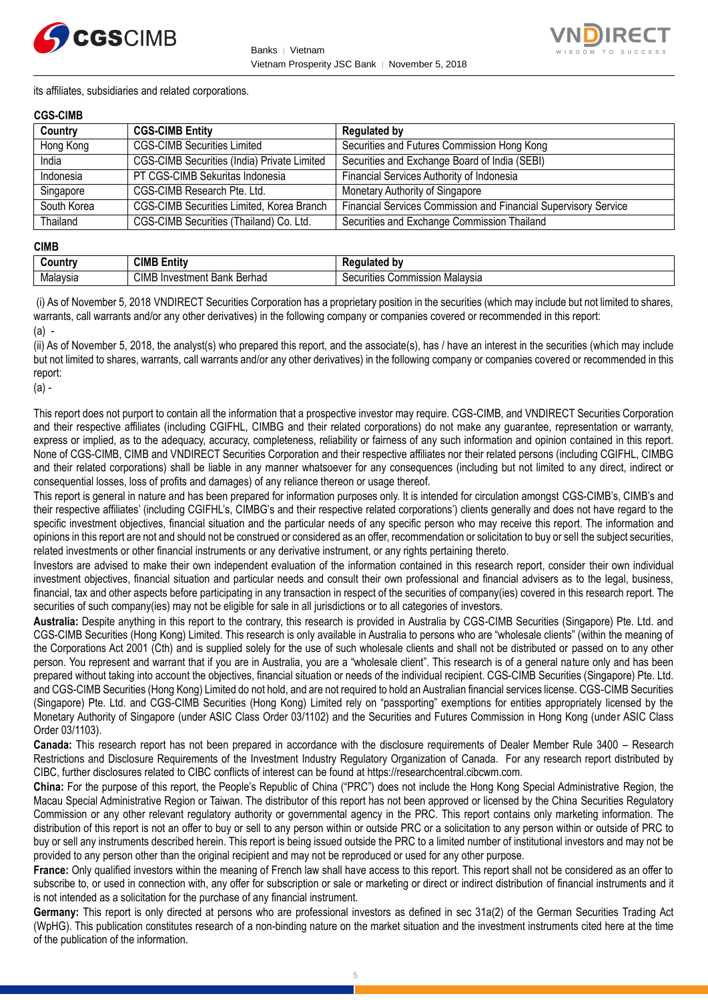



its affiliates, subsidiaries and related corporations.

#### **CGS-CIMB**

| Country     | <b>CGS-CIMB Entity</b>                           | <b>Regulated by</b>                                             |
|-------------|--------------------------------------------------|-----------------------------------------------------------------|
| Hong Kong   | <b>CGS-CIMB Securities Limited</b>               | Securities and Futures Commission Hong Kong                     |
| India       | CGS-CIMB Securities (India) Private Limited      | Securities and Exchange Board of India (SEBI)                   |
| Indonesia   | PT CGS-CIMB Sekuritas Indonesia                  | Financial Services Authority of Indonesia                       |
| Singapore   | CGS-CIMB Research Pte. Ltd.                      | Monetary Authority of Singapore                                 |
| South Korea | <b>CGS-CIMB Securities Limited, Korea Branch</b> | Financial Services Commission and Financial Supervisory Service |
| Thailand    | CGS-CIMB Securities (Thailand) Co. Ltd.          | Securities and Exchange Commission Thailand                     |

#### **CIMB**

| ∶ountr\  | <b>CIML</b><br>.<br>- -<br>Entity            | b٧<br>--- -<br>.<br>παιει                                |
|----------|----------------------------------------------|----------------------------------------------------------|
| Malavsia | CIMB<br>Berhad<br>Investment<br>レハハレ<br>Dank | Malavsia<br>`ommissior<br>$\sim$<br>urities<br>vv.<br>ುರ |

(i) As of November 5, 2018 VNDIRECT Securities Corporation has a proprietary position in the securities (which may include but not limited to shares, warrants, call warrants and/or any other derivatives) in the following company or companies covered or recommended in this report: (a) -

(ii) As of November 5, 2018, the analyst(s) who prepared this report, and the associate(s), has / have an interest in the securities (which may include but not limited to shares, warrants, call warrants and/or any other derivatives) in the following company or companies covered or recommended in this report:

(a) -

This report does not purport to contain all the information that a prospective investor may require. CGS-CIMB, and VNDIRECT Securities Corporation and their respective affiliates (including CGIFHL, CIMBG and their related corporations) do not make any guarantee, representation or warranty, express or implied, as to the adequacy, accuracy, completeness, reliability or fairness of any such information and opinion contained in this report. None of CGS-CIMB, CIMB and VNDIRECT Securities Corporation and their respective affiliates nor their related persons (including CGIFHL, CIMBG and their related corporations) shall be liable in any manner whatsoever for any consequences (including but not limited to any direct, indirect or consequential losses, loss of profits and damages) of any reliance thereon or usage thereof.

This report is general in nature and has been prepared for information purposes only. It is intended for circulation amongst CGS-CIMB's, CIMB's and their respective affiliates' (including CGIFHL's, CIMBG's and their respective related corporations') clients generally and does not have regard to the specific investment objectives, financial situation and the particular needs of any specific person who may receive this report. The information and opinions in this report are not and should not be construed or considered as an offer, recommendation or solicitation to buy or sell the subject securities, related investments or other financial instruments or any derivative instrument, or any rights pertaining thereto.

Investors are advised to make their own independent evaluation of the information contained in this research report, consider their own individual investment objectives, financial situation and particular needs and consult their own professional and financial advisers as to the legal, business, financial, tax and other aspects before participating in any transaction in respect of the securities of company(ies) covered in this research report. The securities of such company(ies) may not be eligible for sale in all jurisdictions or to all categories of investors.

**Australia:** Despite anything in this report to the contrary, this research is provided in Australia by CGS-CIMB Securities (Singapore) Pte. Ltd. and CGS-CIMB Securities (Hong Kong) Limited. This research is only available in Australia to persons who are "wholesale clients" (within the meaning of the Corporations Act 2001 (Cth) and is supplied solely for the use of such wholesale clients and shall not be distributed or passed on to any other person. You represent and warrant that if you are in Australia, you are a "wholesale client". This research is of a general nature only and has been prepared without taking into account the objectives, financial situation or needs of the individual recipient. CGS-CIMB Securities (Singapore) Pte. Ltd. and CGS-CIMB Securities (Hong Kong) Limited do not hold, and are not required to hold an Australian financial services license. CGS-CIMB Securities (Singapore) Pte. Ltd. and CGS-CIMB Securities (Hong Kong) Limited rely on "passporting" exemptions for entities appropriately licensed by the Monetary Authority of Singapore (under ASIC Class Order 03/1102) and the Securities and Futures Commission in Hong Kong (under ASIC Class Order 03/1103).

**Canada:** This research report has not been prepared in accordance with the disclosure requirements of Dealer Member Rule 3400 – Research Restrictions and Disclosure Requirements of the Investment Industry Regulatory Organization of Canada. For any research report distributed by CIBC, further disclosures related to CIBC conflicts of interest can be found at https://researchcentral.cibcwm.com.

**China:** For the purpose of this report, the People's Republic of China ("PRC") does not include the Hong Kong Special Administrative Region, the Macau Special Administrative Region or Taiwan. The distributor of this report has not been approved or licensed by the China Securities Regulatory Commission or any other relevant regulatory authority or governmental agency in the PRC. This report contains only marketing information. The distribution of this report is not an offer to buy or sell to any person within or outside PRC or a solicitation to any person within or outside of PRC to buy or sell any instruments described herein. This report is being issued outside the PRC to a limited number of institutional investors and may not be provided to any person other than the original recipient and may not be reproduced or used for any other purpose.

**France:** Only qualified investors within the meaning of French law shall have access to this report. This report shall not be considered as an offer to subscribe to, or used in connection with, any offer for subscription or sale or marketing or direct or indirect distribution of financial instruments and it is not intended as a solicitation for the purchase of any financial instrument.

**Germany:** This report is only directed at persons who are professional investors as defined in sec 31a(2) of the German Securities Trading Act (WpHG). This publication constitutes research of a non-binding nature on the market situation and the investment instruments cited here at the time of the publication of the information.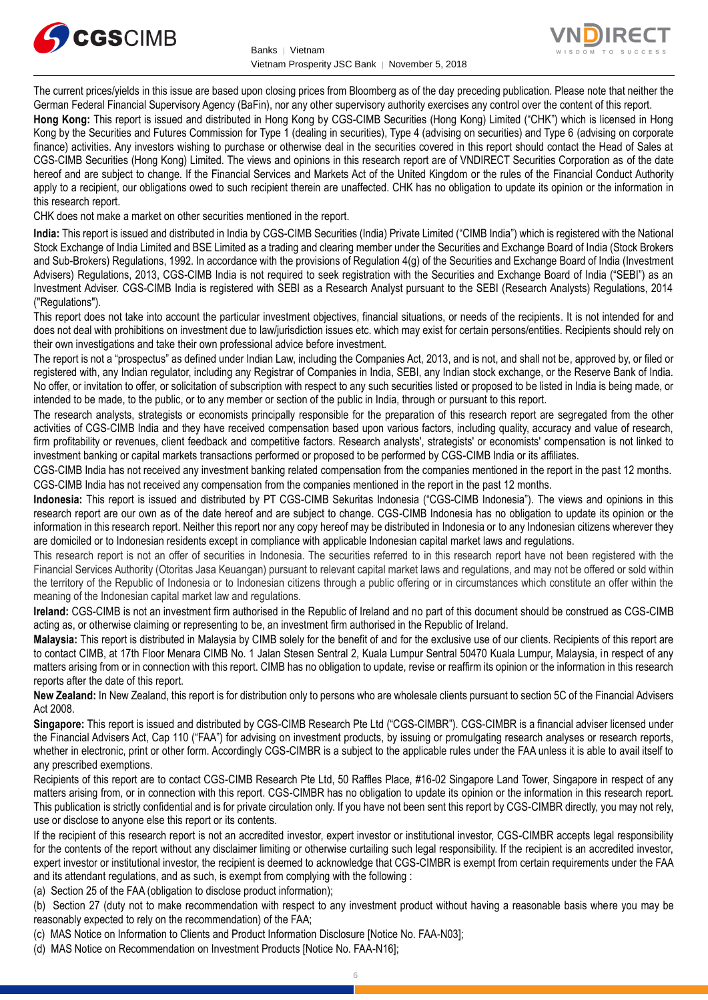



The current prices/yields in this issue are based upon closing prices from Bloomberg as of the day preceding publication. Please note that neither the German Federal Financial Supervisory Agency (BaFin), nor any other supervisory authority exercises any control over the content of this report.

**Hong Kong:** This report is issued and distributed in Hong Kong by CGS-CIMB Securities (Hong Kong) Limited ("CHK") which is licensed in Hong Kong by the Securities and Futures Commission for Type 1 (dealing in securities), Type 4 (advising on securities) and Type 6 (advising on corporate finance) activities. Any investors wishing to purchase or otherwise deal in the securities covered in this report should contact the Head of Sales at CGS-CIMB Securities (Hong Kong) Limited. The views and opinions in this research report are of VNDIRECT Securities Corporation as of the date hereof and are subject to change. If the Financial Services and Markets Act of the United Kingdom or the rules of the Financial Conduct Authority apply to a recipient, our obligations owed to such recipient therein are unaffected. CHK has no obligation to update its opinion or the information in this research report.

CHK does not make a market on other securities mentioned in the report.

**India:** This report is issued and distributed in India by CGS-CIMB Securities (India) Private Limited ("CIMB India") which is registered with the National Stock Exchange of India Limited and BSE Limited as a trading and clearing member under the Securities and Exchange Board of India (Stock Brokers and Sub-Brokers) Regulations, 1992. In accordance with the provisions of Regulation 4(g) of the Securities and Exchange Board of India (Investment Advisers) Regulations, 2013, CGS-CIMB India is not required to seek registration with the Securities and Exchange Board of India ("SEBI") as an Investment Adviser. CGS-CIMB India is registered with SEBI as a Research Analyst pursuant to the SEBI (Research Analysts) Regulations, 2014 ("Regulations").

This report does not take into account the particular investment objectives, financial situations, or needs of the recipients. It is not intended for and does not deal with prohibitions on investment due to law/jurisdiction issues etc. which may exist for certain persons/entities. Recipients should rely on their own investigations and take their own professional advice before investment.

The report is not a "prospectus" as defined under Indian Law, including the Companies Act, 2013, and is not, and shall not be, approved by, or filed or registered with, any Indian regulator, including any Registrar of Companies in India, SEBI, any Indian stock exchange, or the Reserve Bank of India. No offer, or invitation to offer, or solicitation of subscription with respect to any such securities listed or proposed to be listed in India is being made, or intended to be made, to the public, or to any member or section of the public in India, through or pursuant to this report.

The research analysts, strategists or economists principally responsible for the preparation of this research report are segregated from the other activities of CGS-CIMB India and they have received compensation based upon various factors, including quality, accuracy and value of research, firm profitability or revenues, client feedback and competitive factors. Research analysts', strategists' or economists' compensation is not linked to investment banking or capital markets transactions performed or proposed to be performed by CGS-CIMB India or its affiliates.

CGS-CIMB India has not received any investment banking related compensation from the companies mentioned in the report in the past 12 months. CGS-CIMB India has not received any compensation from the companies mentioned in the report in the past 12 months.

**Indonesia:** This report is issued and distributed by PT CGS-CIMB Sekuritas Indonesia ("CGS-CIMB Indonesia"). The views and opinions in this research report are our own as of the date hereof and are subject to change. CGS-CIMB Indonesia has no obligation to update its opinion or the information in this research report. Neither this report nor any copy hereof may be distributed in Indonesia or to any Indonesian citizens wherever they are domiciled or to Indonesian residents except in compliance with applicable Indonesian capital market laws and regulations.

This research report is not an offer of securities in Indonesia. The securities referred to in this research report have not been registered with the Financial Services Authority (Otoritas Jasa Keuangan) pursuant to relevant capital market laws and regulations, and may not be offered or sold within the territory of the Republic of Indonesia or to Indonesian citizens through a public offering or in circumstances which constitute an offer within the meaning of the Indonesian capital market law and regulations.

**Ireland:** CGS-CIMB is not an investment firm authorised in the Republic of Ireland and no part of this document should be construed as CGS-CIMB acting as, or otherwise claiming or representing to be, an investment firm authorised in the Republic of Ireland.

**Malaysia:** This report is distributed in Malaysia by CIMB solely for the benefit of and for the exclusive use of our clients. Recipients of this report are to contact CIMB, at 17th Floor Menara CIMB No. 1 Jalan Stesen Sentral 2, Kuala Lumpur Sentral 50470 Kuala Lumpur, Malaysia, in respect of any matters arising from or in connection with this report. CIMB has no obligation to update, revise or reaffirm its opinion or the information in this research reports after the date of this report.

**New Zealand:** In New Zealand, this report is for distribution only to persons who are wholesale clients pursuant to section 5C of the Financial Advisers Act 2008.

**Singapore:** This report is issued and distributed by CGS-CIMB Research Pte Ltd ("CGS-CIMBR"). CGS-CIMBR is a financial adviser licensed under the Financial Advisers Act, Cap 110 ("FAA") for advising on investment products, by issuing or promulgating research analyses or research reports, whether in electronic, print or other form. Accordingly CGS-CIMBR is a subject to the applicable rules under the FAA unless it is able to avail itself to any prescribed exemptions.

Recipients of this report are to contact CGS-CIMB Research Pte Ltd, 50 Raffles Place, #16-02 Singapore Land Tower, Singapore in respect of any matters arising from, or in connection with this report. CGS-CIMBR has no obligation to update its opinion or the information in this research report. This publication is strictly confidential and is for private circulation only. If you have not been sent this report by CGS-CIMBR directly, you may not rely, use or disclose to anyone else this report or its contents.

If the recipient of this research report is not an accredited investor, expert investor or institutional investor, CGS-CIMBR accepts legal responsibility for the contents of the report without any disclaimer limiting or otherwise curtailing such legal responsibility. If the recipient is an accredited investor, expert investor or institutional investor, the recipient is deemed to acknowledge that CGS-CIMBR is exempt from certain requirements under the FAA and its attendant regulations, and as such, is exempt from complying with the following :

(a) Section 25 of the FAA (obligation to disclose product information);

(b) Section 27 (duty not to make recommendation with respect to any investment product without having a reasonable basis where you may be reasonably expected to rely on the recommendation) of the FAA;

(c) MAS Notice on Information to Clients and Product Information Disclosure [Notice No. FAA-N03];

(d) MAS Notice on Recommendation on Investment Products [Notice No. FAA-N16];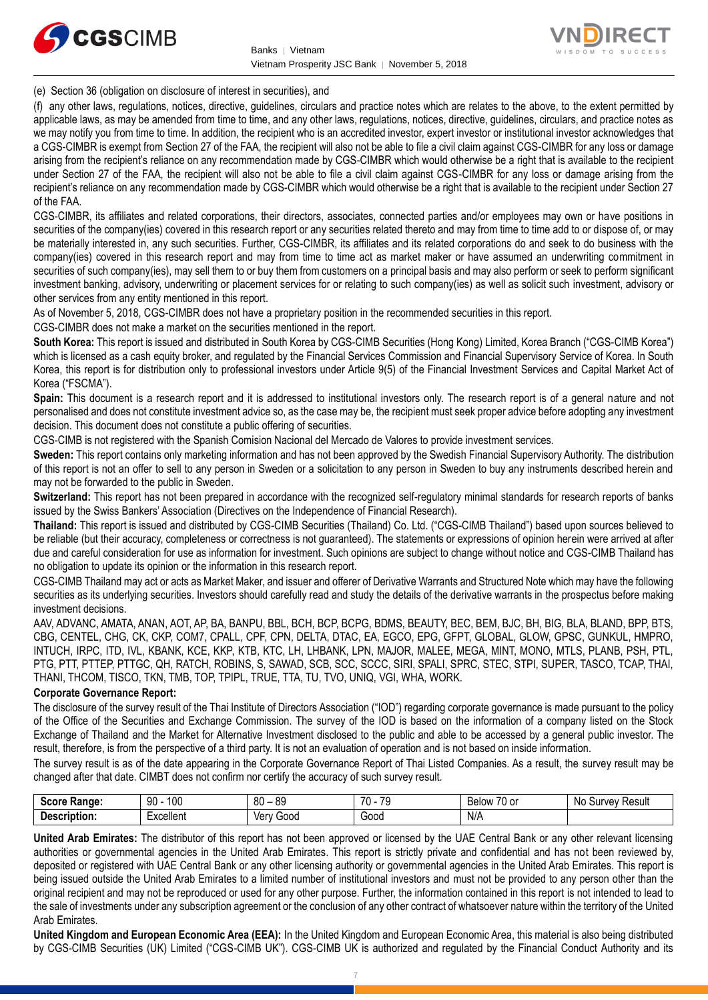



(e) Section 36 (obligation on disclosure of interest in securities), and

(f) any other laws, regulations, notices, directive, guidelines, circulars and practice notes which are relates to the above, to the extent permitted by applicable laws, as may be amended from time to time, and any other laws, regulations, notices, directive, guidelines, circulars, and practice notes as we may notify you from time to time. In addition, the recipient who is an accredited investor, expert investor or institutional investor acknowledges that a CGS-CIMBR is exempt from Section 27 of the FAA, the recipient will also not be able to file a civil claim against CGS-CIMBR for any loss or damage arising from the recipient's reliance on any recommendation made by CGS-CIMBR which would otherwise be a right that is available to the recipient under Section 27 of the FAA, the recipient will also not be able to file a civil claim against CGS-CIMBR for any loss or damage arising from the recipient's reliance on any recommendation made by CGS-CIMBR which would otherwise be a right that is available to the recipient under Section 27 of the FAA.

CGS-CIMBR, its affiliates and related corporations, their directors, associates, connected parties and/or employees may own or have positions in securities of the company(ies) covered in this research report or any securities related thereto and may from time to time add to or dispose of, or may be materially interested in, any such securities. Further, CGS-CIMBR, its affiliates and its related corporations do and seek to do business with the company(ies) covered in this research report and may from time to time act as market maker or have assumed an underwriting commitment in securities of such company(ies), may sell them to or buy them from customers on a principal basis and may also perform or seek to perform significant investment banking, advisory, underwriting or placement services for or relating to such company(ies) as well as solicit such investment, advisory or other services from any entity mentioned in this report.

As of November 5, 2018, CGS-CIMBR does not have a proprietary position in the recommended securities in this report.

CGS-CIMBR does not make a market on the securities mentioned in the report.

**South Korea:** This report is issued and distributed in South Korea by CGS-CIMB Securities (Hong Kong) Limited, Korea Branch ("CGS-CIMB Korea") which is licensed as a cash equity broker, and regulated by the Financial Services Commission and Financial Supervisory Service of Korea. In South Korea, this report is for distribution only to professional investors under Article 9(5) of the Financial Investment Services and Capital Market Act of Korea ("FSCMA").

**Spain:** This document is a research report and it is addressed to institutional investors only. The research report is of a general nature and not personalised and does not constitute investment advice so, as the case may be, the recipient must seek proper advice before adopting any investment decision. This document does not constitute a public offering of securities.

CGS-CIMB is not registered with the Spanish Comision Nacional del Mercado de Valores to provide investment services.

**Sweden:** This report contains only marketing information and has not been approved by the Swedish Financial Supervisory Authority. The distribution of this report is not an offer to sell to any person in Sweden or a solicitation to any person in Sweden to buy any instruments described herein and may not be forwarded to the public in Sweden.

**Switzerland:** This report has not been prepared in accordance with the recognized self-regulatory minimal standards for research reports of banks issued by the Swiss Bankers' Association (Directives on the Independence of Financial Research).

**Thailand:** This report is issued and distributed by CGS-CIMB Securities (Thailand) Co. Ltd. ("CGS-CIMB Thailand") based upon sources believed to be reliable (but their accuracy, completeness or correctness is not guaranteed). The statements or expressions of opinion herein were arrived at after due and careful consideration for use as information for investment. Such opinions are subject to change without notice and CGS-CIMB Thailand has no obligation to update its opinion or the information in this research report.

CGS-CIMB Thailand may act or acts as Market Maker, and issuer and offerer of Derivative Warrants and Structured Note which may have the following securities as its underlying securities. Investors should carefully read and study the details of the derivative warrants in the prospectus before making investment decisions.

AAV, ADVANC, AMATA, ANAN, AOT, AP, BA, BANPU, BBL, BCH, BCP, BCPG, BDMS, BEAUTY, BEC, BEM, BJC, BH, BIG, BLA, BLAND, BPP, BTS, CBG, CENTEL, CHG, CK, CKP, COM7, CPALL, CPF, CPN, DELTA, DTAC, EA, EGCO, EPG, GFPT, GLOBAL, GLOW, GPSC, GUNKUL, HMPRO, INTUCH, IRPC, ITD, IVL, KBANK, KCE, KKP, KTB, KTC, LH, LHBANK, LPN, MAJOR, MALEE, MEGA, MINT, MONO, MTLS, PLANB, PSH, PTL, PTG, PTT, PTTEP, PTTGC, QH, RATCH, ROBINS, S, SAWAD, SCB, SCC, SCCC, SIRI, SPALI, SPRC, STEC, STPI, SUPER, TASCO, TCAP, THAI, THANI, THCOM, TISCO, TKN, TMB, TOP, TPIPL, TRUE, TTA, TU, TVO, UNIQ, VGI, WHA, WORK.

#### **Corporate Governance Report:**

The disclosure of the survey result of the Thai Institute of Directors Association ("IOD") regarding corporate governance is made pursuant to the policy of the Office of the Securities and Exchange Commission. The survey of the IOD is based on the information of a company listed on the Stock Exchange of Thailand and the Market for Alternative Investment disclosed to the public and able to be accessed by a general public investor. The result, therefore, is from the perspective of a third party. It is not an evaluation of operation and is not based on inside information.

The survey result is as of the date appearing in the Corporate Governance Report of Thai Listed Companies. As a result, the survey result may be changed after that date. CIMBT does not confirm nor certify the accuracy of such survey result.

| <b>SCOLE</b><br><b>Range:</b> | 100<br>۵N<br>JU                              | 80<br>$\circ$<br>ంక<br>$\overline{\phantom{0}}$ | 70<br>$\overline{\phantom{a}}$<br>. . | $\sim$<br>Below<br>/U or | No<br>Result<br>Survey |
|-------------------------------|----------------------------------------------|-------------------------------------------------|---------------------------------------|--------------------------|------------------------|
| <b>Description.</b>           | -<br>Lyonllon <sup>+</sup><br>⊏xcelle⊓t<br>. | Ver<br>000نا                                    | Good<br>.                             | N/A                      |                        |

**United Arab Emirates:** The distributor of this report has not been approved or licensed by the UAE Central Bank or any other relevant licensing authorities or governmental agencies in the United Arab Emirates. This report is strictly private and confidential and has not been reviewed by, deposited or registered with UAE Central Bank or any other licensing authority or governmental agencies in the United Arab Emirates. This report is being issued outside the United Arab Emirates to a limited number of institutional investors and must not be provided to any person other than the original recipient and may not be reproduced or used for any other purpose. Further, the information contained in this report is not intended to lead to the sale of investments under any subscription agreement or the conclusion of any other contract of whatsoever nature within the territory of the United Arab Emirates.

**United Kingdom and European Economic Area (EEA):** In the United Kingdom and European Economic Area, this material is also being distributed by CGS-CIMB Securities (UK) Limited ("CGS-CIMB UK"). CGS-CIMB UK is authorized and regulated by the Financial Conduct Authority and its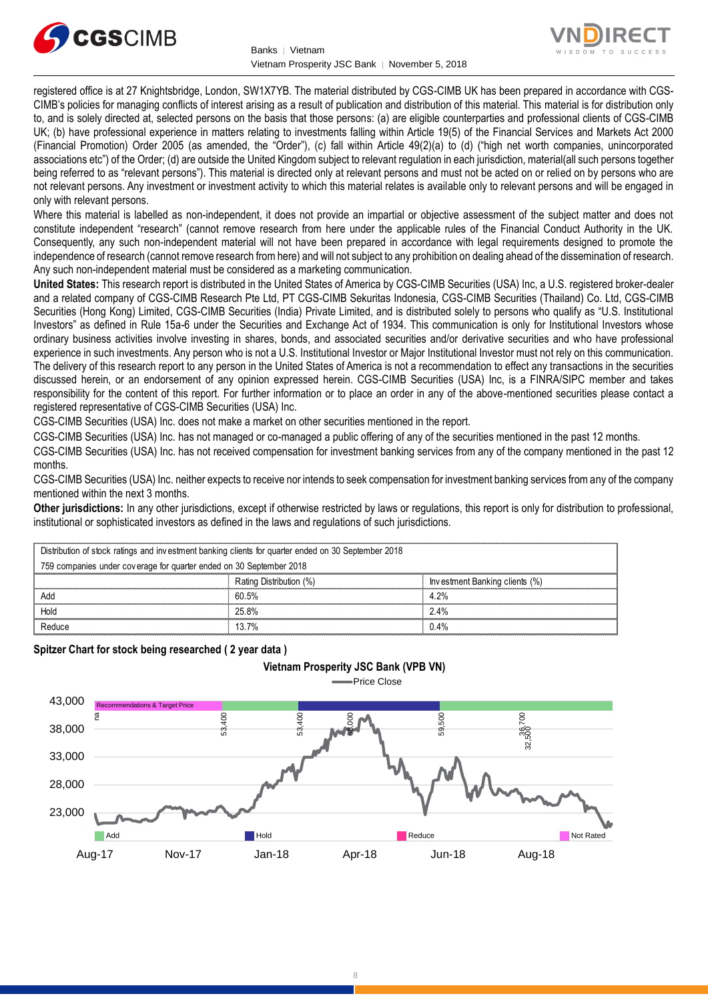



registered office is at 27 Knightsbridge, London, SW1X7YB. The material distributed by CGS-CIMB UK has been prepared in accordance with CGS-CIMB's policies for managing conflicts of interest arising as a result of publication and distribution of this material. This material is for distribution only to, and is solely directed at, selected persons on the basis that those persons: (a) are eligible counterparties and professional clients of CGS-CIMB UK; (b) have professional experience in matters relating to investments falling within Article 19(5) of the Financial Services and Markets Act 2000 (Financial Promotion) Order 2005 (as amended, the "Order"), (c) fall within Article 49(2)(a) to (d) ("high net worth companies, unincorporated associations etc") of the Order; (d) are outside the United Kingdom subject to relevant regulation in each jurisdiction, material(all such persons together being referred to as "relevant persons"). This material is directed only at relevant persons and must not be acted on or relied on by persons who are not relevant persons. Any investment or investment activity to which this material relates is available only to relevant persons and will be engaged in only with relevant persons.

Where this material is labelled as non-independent, it does not provide an impartial or objective assessment of the subject matter and does not constitute independent "research" (cannot remove research from here under the applicable rules of the Financial Conduct Authority in the UK. Consequently, any such non-independent material will not have been prepared in accordance with legal requirements designed to promote the independence of research (cannot remove research from here) and will not subject to any prohibition on dealing ahead of the dissemination of research. Any such non-independent material must be considered as a marketing communication.

**United States:** This research report is distributed in the United States of America by CGS-CIMB Securities (USA) Inc, a U.S. registered broker-dealer and a related company of CGS-CIMB Research Pte Ltd, PT CGS-CIMB Sekuritas Indonesia, CGS-CIMB Securities (Thailand) Co. Ltd, CGS-CIMB Securities (Hong Kong) Limited, CGS-CIMB Securities (India) Private Limited, and is distributed solely to persons who qualify as "U.S. Institutional Investors" as defined in Rule 15a-6 under the Securities and Exchange Act of 1934. This communication is only for Institutional Investors whose ordinary business activities involve investing in shares, bonds, and associated securities and/or derivative securities and who have professional experience in such investments. Any person who is not a U.S. Institutional Investor or Major Institutional Investor must not rely on this communication. The delivery of this research report to any person in the United States of America is not a recommendation to effect any transactions in the securities discussed herein, or an endorsement of any opinion expressed herein. CGS-CIMB Securities (USA) Inc, is a FINRA/SIPC member and takes responsibility for the content of this report. For further information or to place an order in any of the above-mentioned securities please contact a registered representative of CGS-CIMB Securities (USA) Inc.

CGS-CIMB Securities (USA) Inc. does not make a market on other securities mentioned in the report.

CGS-CIMB Securities (USA) Inc. has not managed or co-managed a public offering of any of the securities mentioned in the past 12 months.

CGS-CIMB Securities (USA) Inc. has not received compensation for investment banking services from any of the company mentioned in the past 12 months.

CGS-CIMB Securities (USA) Inc. neither expects to receive nor intends to seek compensation for investment banking services from any of the company mentioned within the next 3 months.

Other jurisdictions: In any other jurisdictions, except if otherwise restricted by laws or regulations, this report is only for distribution to professional,<br>institutional or sophisticated investors as defined in the laws

| institutional or sophisticated investors as defined in the laws and regulations of such jurisdictions. |                         |                                |  |  |  |
|--------------------------------------------------------------------------------------------------------|-------------------------|--------------------------------|--|--|--|
| Distribution of stock ratings and investment banking clients for quarter ended on 30 September 2018    |                         |                                |  |  |  |
| 759 companies under coverage for quarter ended on 30 September 2018                                    |                         |                                |  |  |  |
|                                                                                                        | Rating Distribution (%) | Investment Banking clients (%) |  |  |  |
| hhA                                                                                                    | 60.5%                   | 4.2%                           |  |  |  |
| Hold                                                                                                   | 25.8%                   | 2.4%                           |  |  |  |
| Reduce                                                                                                 | 13.7%                   | በ 4%                           |  |  |  |

#### **Spitzer Chart for stock being researched ( 2 year data )**



Price Close

**Vietnam Prosperity JSC Bank (VPB VN)**